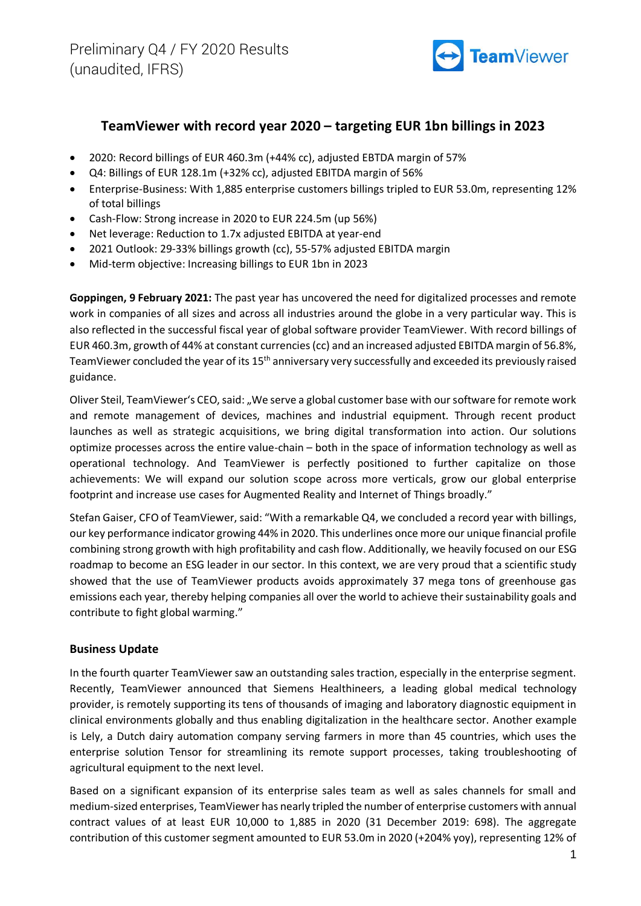

# **TeamViewer with record year 2020 – targeting EUR 1bn billings in 2023**

- 2020: Record billings of EUR 460.3m (+44% cc), adjusted EBTDA margin of 57%
- Q4: Billings of EUR 128.1m (+32% cc), adjusted EBITDA margin of 56%
- Enterprise-Business: With 1,885 enterprise customers billings tripled to EUR 53.0m, representing 12% of total billings
- Cash-Flow: Strong increase in 2020 to EUR 224.5m (up 56%)
- Net leverage: Reduction to 1.7x adjusted EBITDA at year-end
- 2021 Outlook: 29-33% billings growth (cc), 55-57% adjusted EBITDA margin
- Mid-term objective: Increasing billings to EUR 1bn in 2023

**Goppingen, 9 February 2021:** The past year has uncovered the need for digitalized processes and remote work in companies of all sizes and across all industries around the globe in a very particular way. This is also reflected in the successful fiscal year of global software provider TeamViewer. With record billings of EUR 460.3m, growth of 44% at constant currencies(cc) and an increased adjusted EBITDA margin of 56.8%, TeamViewer concluded the year of its 15<sup>th</sup> anniversary very successfully and exceeded its previously raised guidance.

Oliver Steil, TeamViewer's CEO, said: "We serve a global customer base with our software for remote work and remote management of devices, machines and industrial equipment. Through recent product launches as well as strategic acquisitions, we bring digital transformation into action. Our solutions optimize processes across the entire value-chain – both in the space of information technology as well as operational technology. And TeamViewer is perfectly positioned to further capitalize on those achievements: We will expand our solution scope across more verticals, grow our global enterprise footprint and increase use cases for Augmented Reality and Internet of Things broadly."

Stefan Gaiser, CFO of TeamViewer, said: "With a remarkable Q4, we concluded a record year with billings, our key performance indicator growing 44% in 2020. This underlines once more our unique financial profile combining strong growth with high profitability and cash flow. Additionally, we heavily focused on our ESG roadmap to become an ESG leader in our sector. In this context, we are very proud that a scientific study showed that the use of TeamViewer products avoids approximately 37 mega tons of greenhouse gas emissions each year, thereby helping companies all over the world to achieve their sustainability goals and contribute to fight global warming."

## **Business Update**

In the fourth quarter TeamViewer saw an outstanding sales traction, especially in the enterprise segment. Recently, TeamViewer announced that Siemens Healthineers, a leading global medical technology provider, is remotely supporting its tens of thousands of imaging and laboratory diagnostic equipment in clinical environments globally and thus enabling digitalization in the healthcare sector. Another example is Lely, a Dutch dairy automation company serving farmers in more than 45 countries, which uses the enterprise solution Tensor for streamlining its remote support processes, taking troubleshooting of agricultural equipment to the next level.

Based on a significant expansion of its enterprise sales team as well as sales channels for small and medium-sized enterprises, TeamViewer has nearly tripled the number of enterprise customers with annual contract values of at least EUR 10,000 to 1,885 in 2020 (31 December 2019: 698). The aggregate contribution of this customer segment amounted to EUR 53.0m in 2020 (+204% yoy), representing 12% of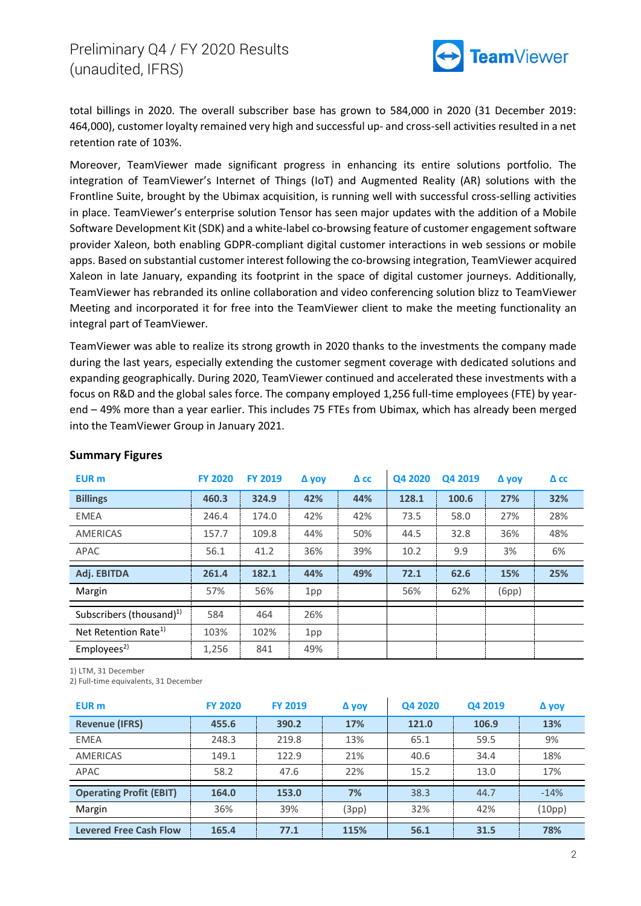

total billings in 2020. The overall subscriber base has grown to 584,000 in 2020 (31 December 2019: 464,000), customer loyalty remained very high and successful up- and cross-sell activities resulted in a net retention rate of 103%.

Moreover, TeamViewer made significant progress in enhancing its entire solutions portfolio. The integration of TeamViewer's Internet of Things (IoT) and Augmented Reality (AR) solutions with the Frontline Suite, brought by the Ubimax acquisition, is running well with successful cross-selling activities in place. TeamViewer's enterprise solution Tensor has seen major updates with the addition of a Mobile Software Development Kit (SDK) and a white-label co-browsing feature of customer engagement software provider Xaleon, both enabling GDPR-compliant digital customer interactions in web sessions or mobile apps. Based on substantial customer interest following the co-browsing integration, TeamViewer acquired Xaleon in late January, expanding its footprint in the space of digital customer journeys. Additionally, TeamViewer has rebranded its online collaboration and video conferencing solution blizz to TeamViewer Meeting and incorporated it for free into the TeamViewer client to make the meeting functionality an integral part of TeamViewer.

TeamViewer was able to realize its strong growth in 2020 thanks to the investments the company made during the last years, especially extending the customer segment coverage with dedicated solutions and expanding geographically. During 2020, TeamViewer continued and accelerated these investments with a focus on R&D and the global sales force. The company employed 1,256 full-time employees (FTE) by yearend – 49% more than a year earlier. This includes 75 FTEs from Ubimax, which has already been merged into the TeamViewer Group in January 2021.

| <b>EUR</b> m                         | <b>FY 2020</b> | <b>FY 2019</b> | Δ yoy | $\Delta$ cc | Q4 2020 | Q4 2019 | Δ yoy | $\Delta$ cc |
|--------------------------------------|----------------|----------------|-------|-------------|---------|---------|-------|-------------|
| <b>Billings</b>                      | 460.3          | 324.9          | 42%   | 44%         | 128.1   | 100.6   | 27%   | 32%         |
| <b>EMEA</b>                          | 246.4          | 174.0          | 42%   | 42%         | 73.5    | 58.0    | 27%   | 28%         |
| <b>AMERICAS</b>                      | 157.7          | 109.8          | 44%   | 50%         | 44.5    | 32.8    | 36%   | 48%         |
| APAC                                 | 56.1           | 41.2           | 36%   | 39%         | 10.2    | 9.9     | 3%    | 6%          |
| Adj. EBITDA                          | 261.4          | 182.1          | 44%   | 49%         | 72.1    | 62.6    | 15%   | 25%         |
| Margin                               | 57%            | 56%            | 1pp   |             | 56%     | 62%     | (6pp) |             |
| Subscribers (thousand) <sup>1)</sup> | 584            | 464            | 26%   |             |         |         |       |             |
| Net Retention Rate <sup>1)</sup>     | 103%           | 102%           | 1pp   |             |         |         |       |             |
| Employees <sup>2</sup>               | 1,256          | 841            | 49%   |             |         |         |       |             |

#### **Summary Figures**

1) LTM, 31 December

2) Full-time equivalents, 31 December

| EUR <sub>m</sub>               | <b>FY 2020</b> | <b>FY 2019</b> | Δ yoy | Q4 2020 | Q4 2019 | Δ yoy  |
|--------------------------------|----------------|----------------|-------|---------|---------|--------|
| <b>Revenue (IFRS)</b>          | 455.6          | 390.2          | 17%   | 121.0   | 106.9   | 13%    |
| <b>EMEA</b>                    | 248.3          | 219.8          | 13%   | 65.1    | 59.5    | 9%     |
| <b>AMERICAS</b>                | 149.1          | 122.9          | 21%   | 40.6    | 34.4    | 18%    |
| APAC                           | 58.2           | 47.6           | 22%   | 15.2    | 13.0    | 17%    |
| <b>Operating Profit (EBIT)</b> | 164.0          | 153.0          | 7%    | 38.3    | 44.7    | $-14%$ |
| Margin                         | 36%            | 39%            | (3pp) | 32%     | 42%     | (10pp) |
| <b>Levered Free Cash Flow</b>  | 165.4          | 77.1           | 115%  | 56.1    | 31.5    | 78%    |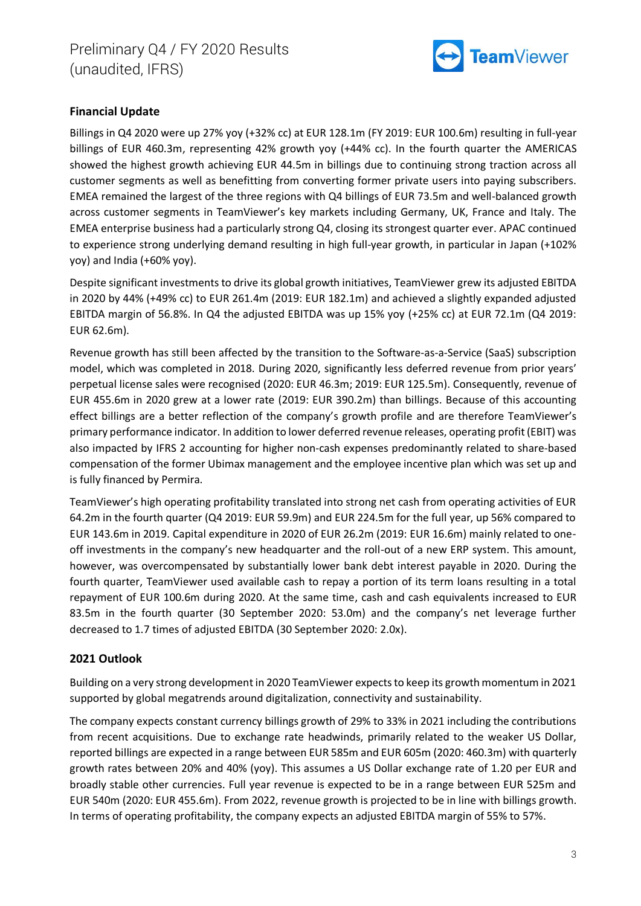

## **Financial Update**

Billings in Q4 2020 were up 27% yoy (+32% cc) at EUR 128.1m (FY 2019: EUR 100.6m) resulting in full-year billings of EUR 460.3m, representing 42% growth yoy (+44% cc). In the fourth quarter the AMERICAS showed the highest growth achieving EUR 44.5m in billings due to continuing strong traction across all customer segments as well as benefitting from converting former private users into paying subscribers. EMEA remained the largest of the three regions with Q4 billings of EUR 73.5m and well-balanced growth across customer segments in TeamViewer's key markets including Germany, UK, France and Italy. The EMEA enterprise business had a particularly strong Q4, closing its strongest quarter ever. APAC continued to experience strong underlying demand resulting in high full-year growth, in particular in Japan (+102% yoy) and India (+60% yoy).

Despite significant investments to drive its global growth initiatives, TeamViewer grew its adjusted EBITDA in 2020 by 44% (+49% cc) to EUR 261.4m (2019: EUR 182.1m) and achieved a slightly expanded adjusted EBITDA margin of 56.8%. In Q4 the adjusted EBITDA was up 15% yoy (+25% cc) at EUR 72.1m (Q4 2019: EUR 62.6m).

Revenue growth has still been affected by the transition to the Software-as-a-Service (SaaS) subscription model, which was completed in 2018. During 2020, significantly less deferred revenue from prior years' perpetual license sales were recognised (2020: EUR 46.3m; 2019: EUR 125.5m). Consequently, revenue of EUR 455.6m in 2020 grew at a lower rate (2019: EUR 390.2m) than billings. Because of this accounting effect billings are a better reflection of the company's growth profile and are therefore TeamViewer's primary performance indicator. In addition to lower deferred revenue releases, operating profit (EBIT) was also impacted by IFRS 2 accounting for higher non-cash expenses predominantly related to share-based compensation of the former Ubimax management and the employee incentive plan which was set up and is fully financed by Permira.

TeamViewer's high operating profitability translated into strong net cash from operating activities of EUR 64.2m in the fourth quarter (Q4 2019: EUR 59.9m) and EUR 224.5m for the full year, up 56% compared to EUR 143.6m in 2019. Capital expenditure in 2020 of EUR 26.2m (2019: EUR 16.6m) mainly related to oneoff investments in the company's new headquarter and the roll-out of a new ERP system. This amount, however, was overcompensated by substantially lower bank debt interest payable in 2020. During the fourth quarter, TeamViewer used available cash to repay a portion of its term loans resulting in a total repayment of EUR 100.6m during 2020. At the same time, cash and cash equivalents increased to EUR 83.5m in the fourth quarter (30 September 2020: 53.0m) and the company's net leverage further decreased to 1.7 times of adjusted EBITDA (30 September 2020: 2.0x).

## **2021 Outlook**

Building on a very strong development in 2020 TeamViewer expects to keep its growth momentum in 2021 supported by global megatrends around digitalization, connectivity and sustainability.

The company expects constant currency billings growth of 29% to 33% in 2021 including the contributions from recent acquisitions. Due to exchange rate headwinds, primarily related to the weaker US Dollar, reported billings are expected in a range between EUR 585m and EUR 605m (2020: 460.3m) with quarterly growth rates between 20% and 40% (yoy). This assumes a US Dollar exchange rate of 1.20 per EUR and broadly stable other currencies. Full year revenue is expected to be in a range between EUR 525m and EUR 540m (2020: EUR 455.6m). From 2022, revenue growth is projected to be in line with billings growth. In terms of operating profitability, the company expects an adjusted EBITDA margin of 55% to 57%.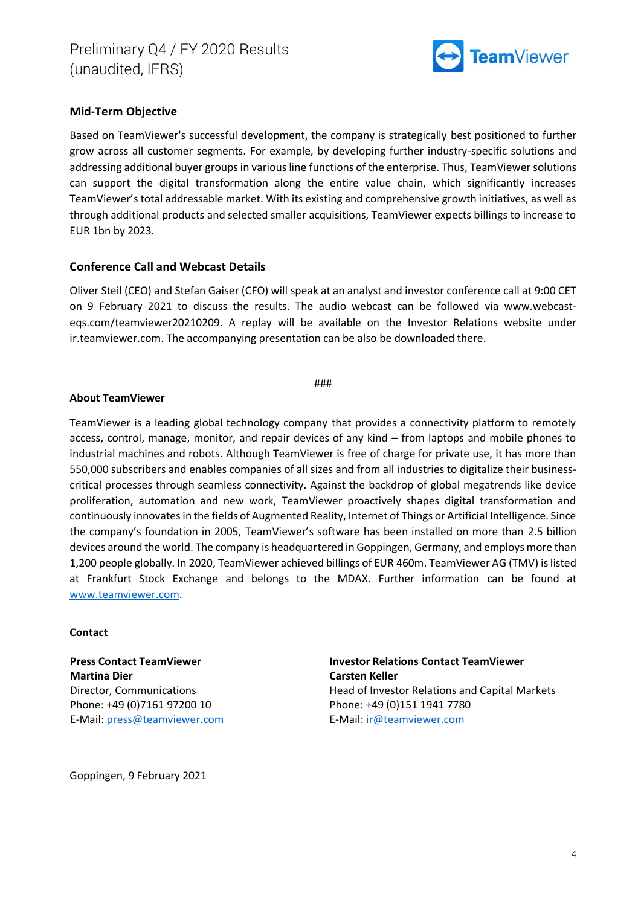

## **Mid-Term Objective**

Based on TeamViewer's successful development, the company is strategically best positioned to further grow across all customer segments. For example, by developing further industry-specific solutions and addressing additional buyer groups in various line functions of the enterprise. Thus, TeamViewer solutions can support the digital transformation along the entire value chain, which significantly increases TeamViewer's total addressable market. With its existing and comprehensive growth initiatives, as well as through additional products and selected smaller acquisitions, TeamViewer expects billings to increase to EUR 1bn by 2023.

### **Conference Call and Webcast Details**

Oliver Steil (CEO) and Stefan Gaiser (CFO) will speak at an analyst and investor conference call at 9:00 CET on 9 February 2021 to discuss the results. The audio webcast can be followed via www.webcasteqs.com/teamviewer20210209. A replay will be available on the Investor Relations website under ir.teamviewer.com. The accompanying presentation can be also be downloaded there.

#### ###

#### **About TeamViewer**

TeamViewer is a leading global technology company that provides a connectivity platform to remotely access, control, manage, monitor, and repair devices of any kind – from laptops and mobile phones to industrial machines and robots. Although TeamViewer is free of charge for private use, it has more than 550,000 subscribers and enables companies of all sizes and from all industries to digitalize their businesscritical processes through seamless connectivity. Against the backdrop of global megatrends like device proliferation, automation and new work, TeamViewer proactively shapes digital transformation and continuously innovates in the fields of Augmented Reality, Internet of Things or Artificial Intelligence. Since the company's foundation in 2005, TeamViewer's software has been installed on more than 2.5 billion devices around the world. The company is headquartered in Goppingen, Germany, and employs more than 1,200 people globally. In 2020, TeamViewer achieved billings of EUR 460m. TeamViewer AG (TMV) is listed at Frankfurt Stock Exchange and belongs to the MDAX. Further information can be found at [www.teamviewer.com.](http://www.teamviewer.com/)

#### **Contact**

**Press Contact TeamViewer Martina Dier** Director, Communications Phone: +49 (0)7161 97200 10 E-Mail: [press@teamviewer.com](mailto:press@teamviewer.com) **Investor Relations Contact TeamViewer Carsten Keller** Head of Investor Relations and Capital Markets Phone: +49 (0)151 1941 7780 E-Mail: [ir@teamviewer.com](mailto:ir@teamviewer.com)

Goppingen, 9 February 2021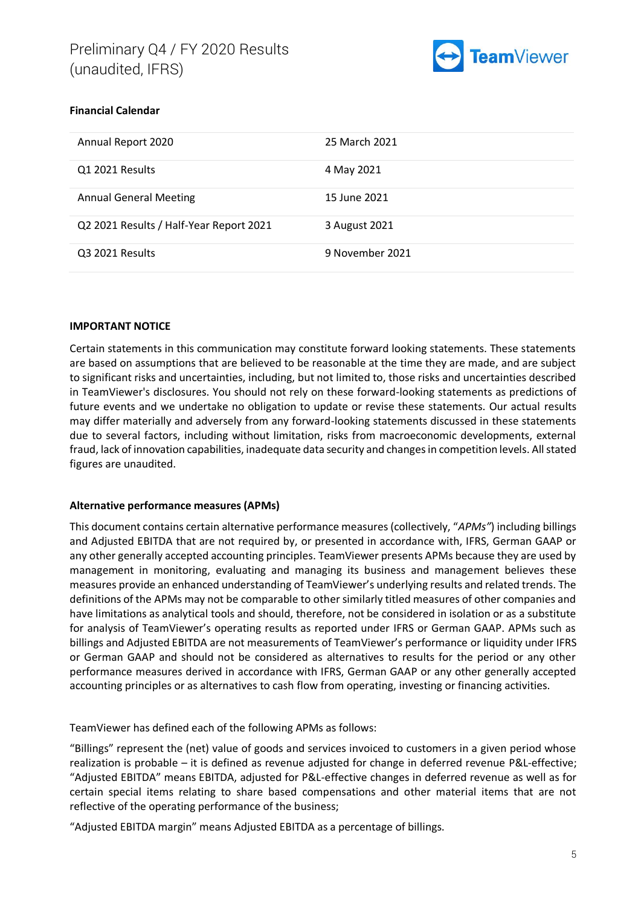

## **Financial Calendar**

| Annual Report 2020                      | 25 March 2021   |
|-----------------------------------------|-----------------|
| Q1 2021 Results                         | 4 May 2021      |
| <b>Annual General Meeting</b>           | 15 June 2021    |
| Q2 2021 Results / Half-Year Report 2021 | 3 August 2021   |
| Q3 2021 Results                         | 9 November 2021 |

#### **IMPORTANT NOTICE**

Certain statements in this communication may constitute forward looking statements. These statements are based on assumptions that are believed to be reasonable at the time they are made, and are subject to significant risks and uncertainties, including, but not limited to, those risks and uncertainties described in TeamViewer's disclosures. You should not rely on these forward-looking statements as predictions of future events and we undertake no obligation to update or revise these statements. Our actual results may differ materially and adversely from any forward-looking statements discussed in these statements due to several factors, including without limitation, risks from macroeconomic developments, external fraud, lack of innovation capabilities, inadequate data security and changes in competition levels. All stated figures are unaudited.

#### **Alternative performance measures (APMs)**

This document contains certain alternative performance measures (collectively, "*APMs"*) including billings and Adjusted EBITDA that are not required by, or presented in accordance with, IFRS, German GAAP or any other generally accepted accounting principles. TeamViewer presents APMs because they are used by management in monitoring, evaluating and managing its business and management believes these measures provide an enhanced understanding of TeamViewer's underlying results and related trends. The definitions of the APMs may not be comparable to other similarly titled measures of other companies and have limitations as analytical tools and should, therefore, not be considered in isolation or as a substitute for analysis of TeamViewer's operating results as reported under IFRS or German GAAP. APMs such as billings and Adjusted EBITDA are not measurements of TeamViewer's performance or liquidity under IFRS or German GAAP and should not be considered as alternatives to results for the period or any other performance measures derived in accordance with IFRS, German GAAP or any other generally accepted accounting principles or as alternatives to cash flow from operating, investing or financing activities.

TeamViewer has defined each of the following APMs as follows:

"Billings" represent the (net) value of goods and services invoiced to customers in a given period whose realization is probable – it is defined as revenue adjusted for change in deferred revenue P&L-effective; "Adjusted EBITDA" means EBITDA, adjusted for P&L-effective changes in deferred revenue as well as for certain special items relating to share based compensations and other material items that are not reflective of the operating performance of the business;

"Adjusted EBITDA margin" means Adjusted EBITDA as a percentage of billings.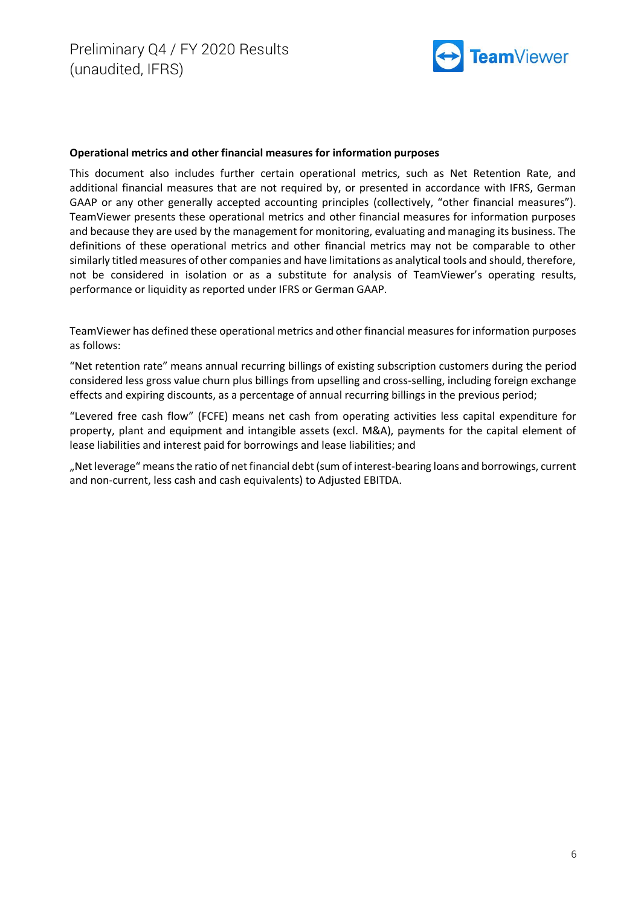

#### **Operational metrics and other financial measures for information purposes**

This document also includes further certain operational metrics, such as Net Retention Rate, and additional financial measures that are not required by, or presented in accordance with IFRS, German GAAP or any other generally accepted accounting principles (collectively, "other financial measures"). TeamViewer presents these operational metrics and other financial measures for information purposes and because they are used by the management for monitoring, evaluating and managing its business. The definitions of these operational metrics and other financial metrics may not be comparable to other similarly titled measures of other companies and have limitations as analytical tools and should, therefore, not be considered in isolation or as a substitute for analysis of TeamViewer's operating results, performance or liquidity as reported under IFRS or German GAAP.

TeamViewer has defined these operational metrics and other financial measures for information purposes as follows:

"Net retention rate" means annual recurring billings of existing subscription customers during the period considered less gross value churn plus billings from upselling and cross-selling, including foreign exchange effects and expiring discounts, as a percentage of annual recurring billings in the previous period;

"Levered free cash flow" (FCFE) means net cash from operating activities less capital expenditure for property, plant and equipment and intangible assets (excl. M&A), payments for the capital element of lease liabilities and interest paid for borrowings and lease liabilities; and

"Net leverage" means the ratio of net financial debt (sum of interest-bearing loans and borrowings, current and non-current, less cash and cash equivalents) to Adjusted EBITDA.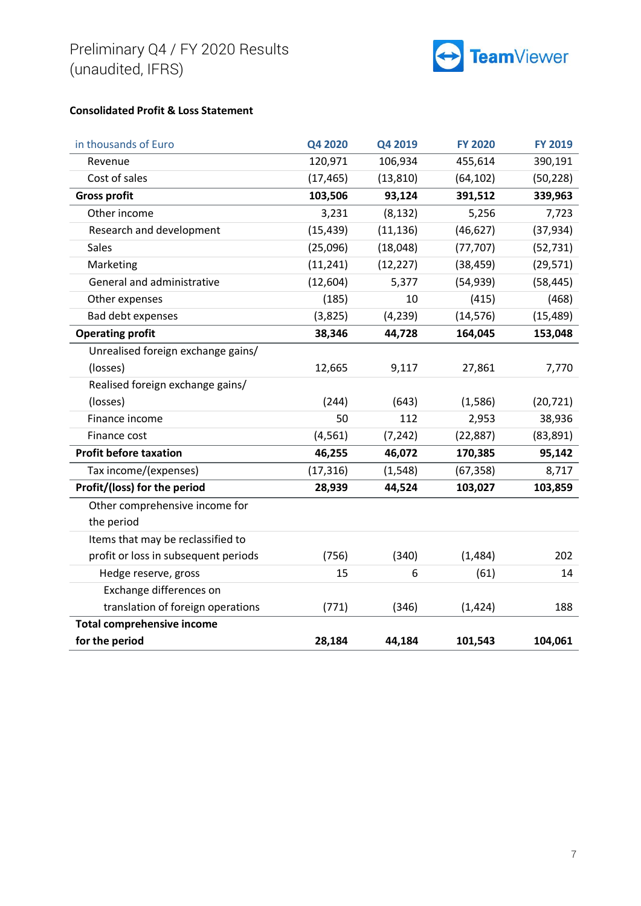

## **Consolidated Profit & Loss Statement**

| in thousands of Euro                 | Q4 2020   | Q4 2019   | <b>FY 2020</b> | <b>FY 2019</b> |
|--------------------------------------|-----------|-----------|----------------|----------------|
| Revenue                              | 120,971   | 106,934   | 455,614        | 390,191        |
| Cost of sales                        | (17, 465) | (13, 810) | (64, 102)      | (50, 228)      |
| <b>Gross profit</b>                  | 103,506   | 93,124    | 391,512        | 339,963        |
| Other income                         | 3,231     | (8, 132)  | 5,256          | 7,723          |
| Research and development             | (15, 439) | (11, 136) | (46, 627)      | (37, 934)      |
| Sales                                | (25,096)  | (18,048)  | (77, 707)      | (52, 731)      |
| Marketing                            | (11, 241) | (12, 227) | (38, 459)      | (29, 571)      |
| General and administrative           | (12, 604) | 5,377     | (54, 939)      | (58, 445)      |
| Other expenses                       | (185)     | 10        | (415)          | (468)          |
| Bad debt expenses                    | (3,825)   | (4, 239)  | (14, 576)      | (15, 489)      |
| <b>Operating profit</b>              | 38,346    | 44,728    | 164,045        | 153,048        |
| Unrealised foreign exchange gains/   |           |           |                |                |
| (losses)                             | 12,665    | 9,117     | 27,861         | 7,770          |
| Realised foreign exchange gains/     |           |           |                |                |
| (losses)                             | (244)     | (643)     | (1,586)        | (20, 721)      |
| Finance income                       | 50        | 112       | 2,953          | 38,936         |
| Finance cost                         | (4, 561)  | (7, 242)  | (22, 887)      | (83, 891)      |
| <b>Profit before taxation</b>        | 46,255    | 46,072    | 170,385        | 95,142         |
| Tax income/(expenses)                | (17, 316) | (1, 548)  | (67, 358)      | 8,717          |
| Profit/(loss) for the period         | 28,939    | 44,524    | 103,027        | 103,859        |
| Other comprehensive income for       |           |           |                |                |
| the period                           |           |           |                |                |
| Items that may be reclassified to    |           |           |                |                |
| profit or loss in subsequent periods | (756)     | (340)     | (1,484)        | 202            |
| Hedge reserve, gross                 | 15        | 6         | (61)           | 14             |
| Exchange differences on              |           |           |                |                |
| translation of foreign operations    | (771)     | (346)     | (1, 424)       | 188            |
| <b>Total comprehensive income</b>    |           |           |                |                |
| for the period                       | 28,184    | 44,184    | 101,543        | 104,061        |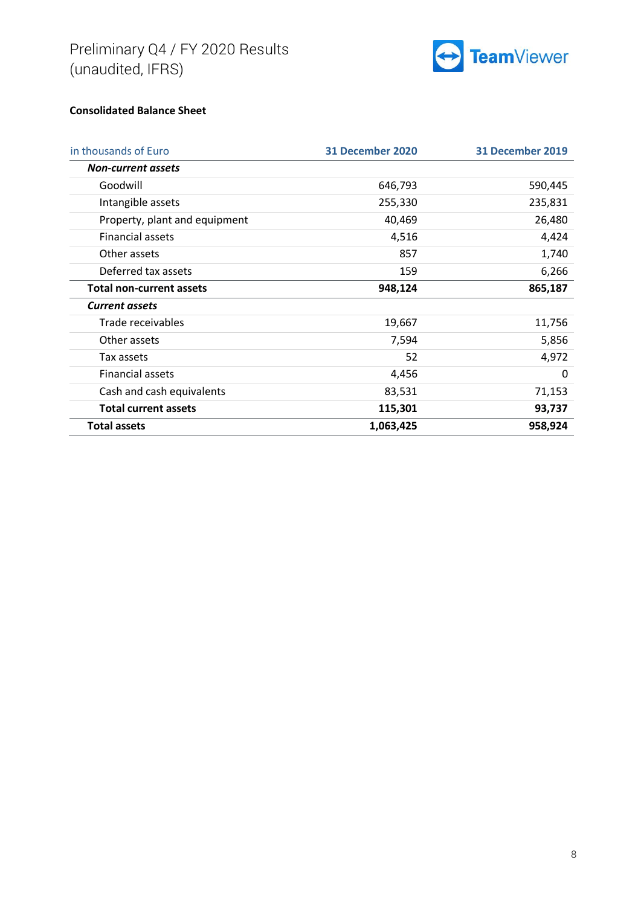

## **Consolidated Balance Sheet**

| in thousands of Euro            | <b>31 December 2020</b> | <b>31 December 2019</b> |
|---------------------------------|-------------------------|-------------------------|
| <b>Non-current assets</b>       |                         |                         |
| Goodwill                        | 646,793                 | 590,445                 |
| Intangible assets               | 255,330                 | 235,831                 |
| Property, plant and equipment   | 40,469                  | 26,480                  |
| <b>Financial assets</b>         | 4,516                   | 4,424                   |
| Other assets                    | 857                     | 1,740                   |
| Deferred tax assets             | 159                     | 6,266                   |
| <b>Total non-current assets</b> | 948,124                 | 865,187                 |
| <b>Current assets</b>           |                         |                         |
| Trade receivables               | 19,667                  | 11,756                  |
| Other assets                    | 7,594                   | 5,856                   |
| Tax assets                      | 52                      | 4,972                   |
| <b>Financial assets</b>         | 4,456                   | 0                       |
| Cash and cash equivalents       | 83,531                  | 71,153                  |
| <b>Total current assets</b>     | 115,301                 | 93,737                  |
| <b>Total assets</b>             | 1,063,425               | 958,924                 |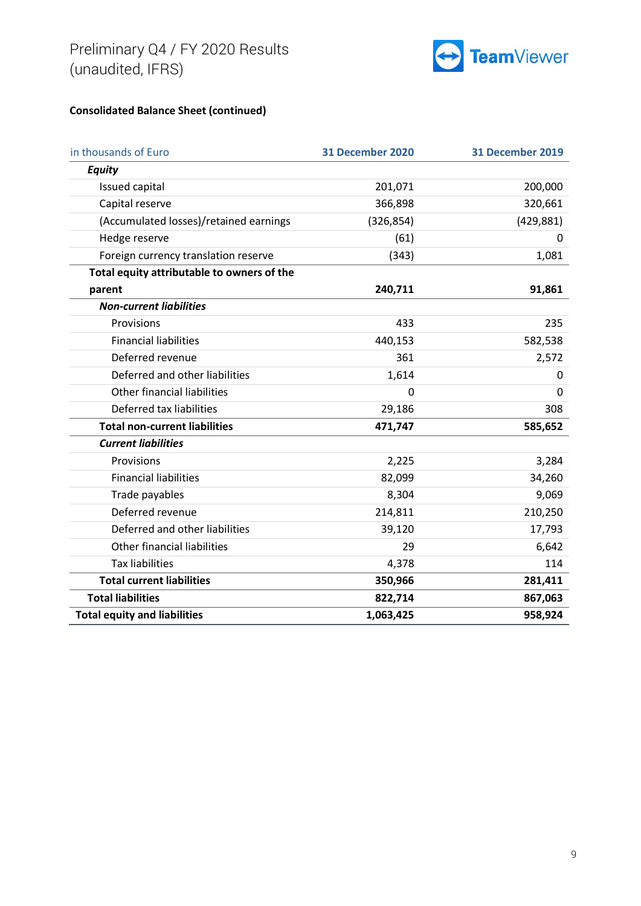

# **Consolidated Balance Sheet (continued)**

| in thousands of Euro                       | <b>31 December 2020</b> | <b>31 December 2019</b> |
|--------------------------------------------|-------------------------|-------------------------|
| <b>Equity</b>                              |                         |                         |
| Issued capital                             | 201,071                 | 200,000                 |
| Capital reserve                            | 366,898                 | 320,661                 |
| (Accumulated losses)/retained earnings     | (326, 854)              | (429, 881)              |
| Hedge reserve                              | (61)                    | 0                       |
| Foreign currency translation reserve       | (343)                   | 1,081                   |
| Total equity attributable to owners of the |                         |                         |
| parent                                     | 240,711                 | 91,861                  |
| <b>Non-current liabilities</b>             |                         |                         |
| Provisions                                 | 433                     | 235                     |
| <b>Financial liabilities</b>               | 440,153                 | 582,538                 |
| Deferred revenue                           | 361                     | 2,572                   |
| Deferred and other liabilities             | 1,614                   | 0                       |
| Other financial liabilities                | 0                       | 0                       |
| Deferred tax liabilities                   | 29,186                  | 308                     |
| <b>Total non-current liabilities</b>       | 471,747                 | 585,652                 |
| <b>Current liabilities</b>                 |                         |                         |
| Provisions                                 | 2,225                   | 3,284                   |
| <b>Financial liabilities</b>               | 82,099                  | 34,260                  |
| Trade payables                             | 8,304                   | 9,069                   |
| Deferred revenue                           | 214,811                 | 210,250                 |
| Deferred and other liabilities             | 39,120                  | 17,793                  |
| Other financial liabilities                | 29                      | 6,642                   |
| <b>Tax liabilities</b>                     | 4,378                   | 114                     |
| <b>Total current liabilities</b>           | 350,966                 | 281,411                 |
| <b>Total liabilities</b>                   | 822,714                 | 867,063                 |
| <b>Total equity and liabilities</b>        | 1,063,425               | 958,924                 |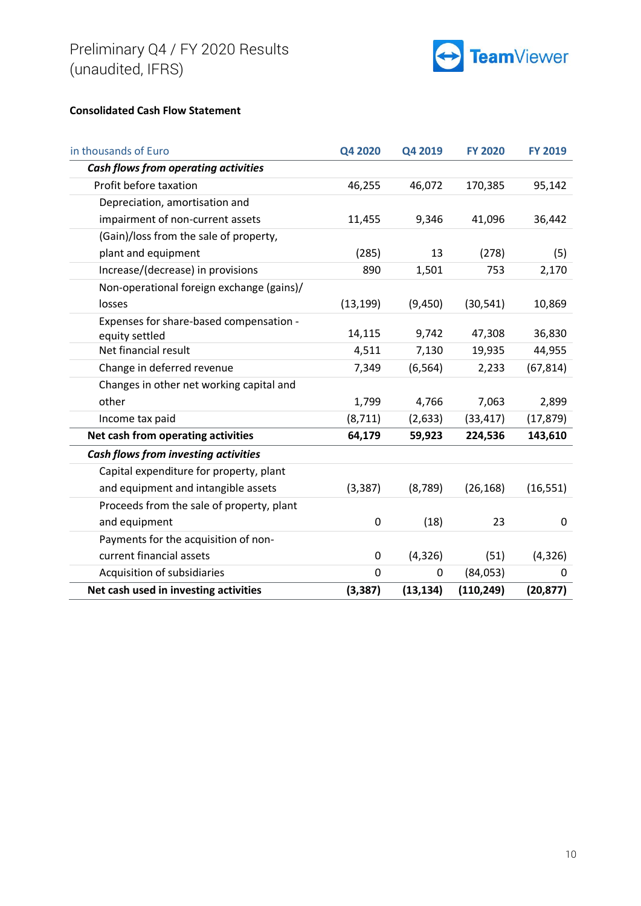

#### **Consolidated Cash Flow Statement**

| in thousands of Euro                        | Q4 2020     | Q4 2019   | <b>FY 2020</b> | <b>FY 2019</b> |
|---------------------------------------------|-------------|-----------|----------------|----------------|
| <b>Cash flows from operating activities</b> |             |           |                |                |
| Profit before taxation                      | 46,255      | 46,072    | 170,385        | 95,142         |
| Depreciation, amortisation and              |             |           |                |                |
| impairment of non-current assets            | 11,455      | 9,346     | 41,096         | 36,442         |
| (Gain)/loss from the sale of property,      |             |           |                |                |
| plant and equipment                         | (285)       | 13        | (278)          | (5)            |
| Increase/(decrease) in provisions           | 890         | 1,501     | 753            | 2,170          |
| Non-operational foreign exchange (gains)/   |             |           |                |                |
| losses                                      | (13, 199)   | (9,450)   | (30, 541)      | 10,869         |
| Expenses for share-based compensation -     |             |           |                |                |
| equity settled                              | 14,115      | 9,742     | 47,308         | 36,830         |
| Net financial result                        | 4,511       | 7,130     | 19,935         | 44,955         |
| Change in deferred revenue                  | 7,349       | (6, 564)  | 2,233          | (67, 814)      |
| Changes in other net working capital and    |             |           |                |                |
| other                                       | 1,799       | 4,766     | 7,063          | 2,899          |
| Income tax paid                             | (8, 711)    | (2, 633)  | (33, 417)      | (17, 879)      |
| Net cash from operating activities          | 64,179      | 59,923    | 224,536        | 143,610        |
| Cash flows from investing activities        |             |           |                |                |
| Capital expenditure for property, plant     |             |           |                |                |
| and equipment and intangible assets         | (3, 387)    | (8, 789)  | (26, 168)      | (16, 551)      |
| Proceeds from the sale of property, plant   |             |           |                |                |
| and equipment                               | 0           | (18)      | 23             | $\mathbf 0$    |
| Payments for the acquisition of non-        |             |           |                |                |
| current financial assets                    | 0           | (4, 326)  | (51)           | (4, 326)       |
| Acquisition of subsidiaries                 | $\mathbf 0$ | 0         | (84,053)       | 0              |
| Net cash used in investing activities       | (3, 387)    | (13, 134) | (110, 249)     | (20, 877)      |